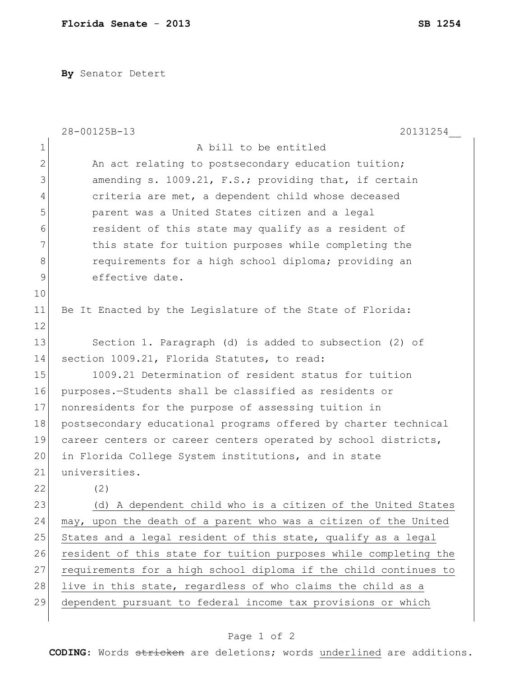**By** Senator Detert

|                | 28-00125B-13<br>20131254                                         |
|----------------|------------------------------------------------------------------|
| $\mathbf 1$    | A bill to be entitled                                            |
| $\overline{2}$ | An act relating to postsecondary education tuition;              |
| 3              | amending s. 1009.21, F.S.; providing that, if certain            |
| 4              | criteria are met, a dependent child whose deceased               |
| 5              | parent was a United States citizen and a legal                   |
| 6              | resident of this state may qualify as a resident of              |
| 7              | this state for tuition purposes while completing the             |
| 8              | requirements for a high school diploma; providing an             |
| 9              | effective date.                                                  |
| 10             |                                                                  |
| 11             | Be It Enacted by the Legislature of the State of Florida:        |
| 12             |                                                                  |
| 13             | Section 1. Paragraph (d) is added to subsection (2) of           |
| 14             | section 1009.21, Florida Statutes, to read:                      |
| 15             | 1009.21 Determination of resident status for tuition             |
| 16             | purposes.-Students shall be classified as residents or           |
| 17             | nonresidents for the purpose of assessing tuition in             |
| 18             | postsecondary educational programs offered by charter technical  |
| 19             | career centers or career centers operated by school districts,   |
| 20             | in Florida College System institutions, and in state             |
| 21             | universities.                                                    |
| 22             | (2)                                                              |
| 23             | (d) A dependent child who is a citizen of the United States      |
| 24             | may, upon the death of a parent who was a citizen of the United  |
| 25             | States and a legal resident of this state, qualify as a legal    |
| 26             | resident of this state for tuition purposes while completing the |
| 27             | requirements for a high school diploma if the child continues to |
| 28             | live in this state, regardless of who claims the child as a      |
| 29             | dependent pursuant to federal income tax provisions or which     |
|                |                                                                  |

## Page 1 of 2

**CODING**: Words stricken are deletions; words underlined are additions.